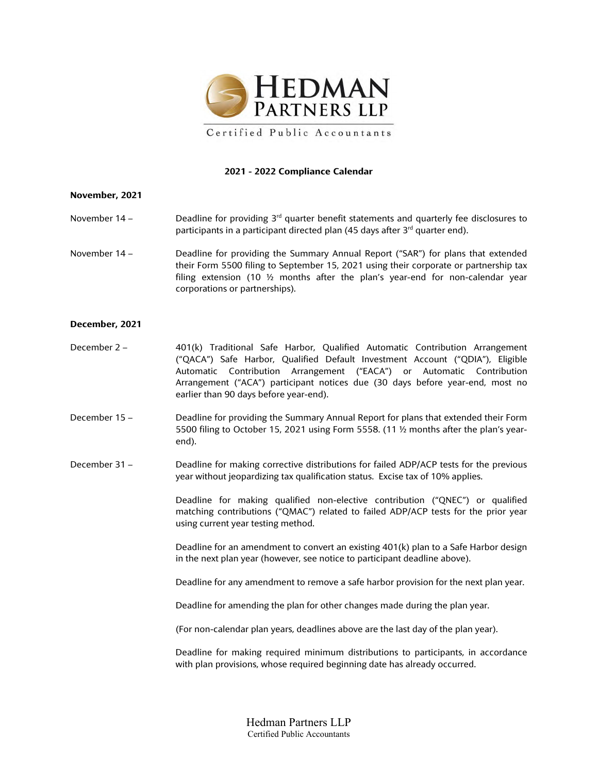

### **2021 - 2022 Compliance Calendar**

#### **November, 2021**

- November 14 Deadline for providing 3<sup>rd</sup> quarter benefit statements and quarterly fee disclosures to participants in a participant directed plan (45 days after 3<sup>rd</sup> quarter end).
- November 14 Deadline for providing the Summary Annual Report ("SAR") for plans that extended their Form 5500 filing to September 15, 2021 using their corporate or partnership tax filing extension (10 ½ months after the plan's year-end for non-calendar year corporations or partnerships).

### **December, 2021**

- December 2 401(k) Traditional Safe Harbor, Qualified Automatic Contribution Arrangement ("QACA") Safe Harbor, Qualified Default Investment Account ("QDIA"), Eligible Automatic Contribution Arrangement ("EACA") or Automatic Contribution Arrangement ("ACA") participant notices due (30 days before year-end, most no earlier than 90 days before year-end).
- December 15 Deadline for providing the Summary Annual Report for plans that extended their Form 5500 filing to October 15, 2021 using Form 5558. (11 ½ months after the plan's yearend).
- December 31 Deadline for making corrective distributions for failed ADP/ACP tests for the previous year without jeopardizing tax qualification status. Excise tax of 10% applies.

Deadline for making qualified non-elective contribution ("QNEC") or qualified matching contributions ("QMAC") related to failed ADP/ACP tests for the prior year using current year testing method.

Deadline for an amendment to convert an existing 401(k) plan to a Safe Harbor design in the next plan year (however, see notice to participant deadline above).

Deadline for any amendment to remove a safe harbor provision for the next plan year.

Deadline for amending the plan for other changes made during the plan year.

(For non-calendar plan years, deadlines above are the last day of the plan year).

Deadline for making required minimum distributions to participants, in accordance with plan provisions, whose required beginning date has already occurred.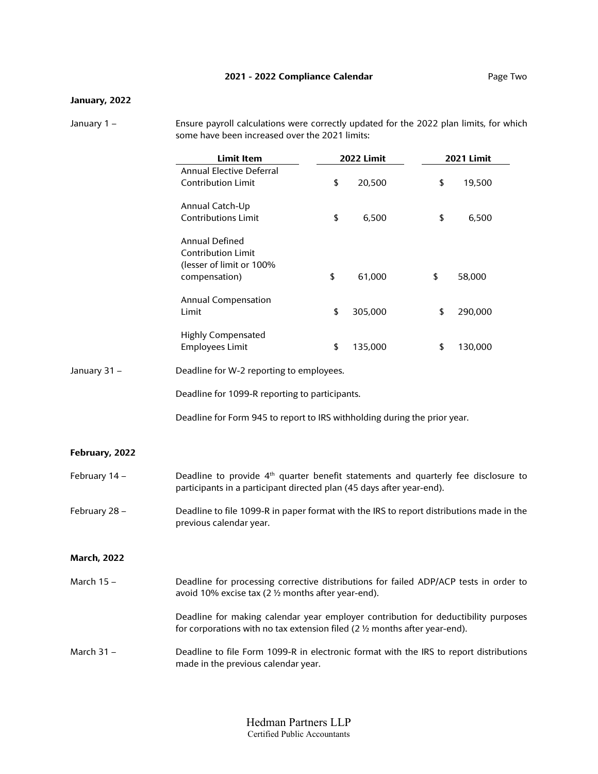# **2021 - 2022 Compliance Calendar Page Two**

# **January, 2022**

January 1 – Ensure payroll calculations were correctly updated for the 2022 plan limits, for which some have been increased over the 2021 limits:

|                    | <b>Limit Item</b>                                                                                                                                                           | <b>2022 Limit</b> |         | <b>2021 Limit</b> |         |  |
|--------------------|-----------------------------------------------------------------------------------------------------------------------------------------------------------------------------|-------------------|---------|-------------------|---------|--|
|                    | <b>Annual Elective Deferral</b><br><b>Contribution Limit</b>                                                                                                                | \$                | 20,500  | \$                | 19,500  |  |
|                    | Annual Catch-Up<br><b>Contributions Limit</b>                                                                                                                               | \$                | 6,500   | \$                | 6,500   |  |
|                    | Annual Defined<br><b>Contribution Limit</b><br>(lesser of limit or 100%<br>compensation)                                                                                    | \$                | 61,000  | \$                | 58,000  |  |
|                    | <b>Annual Compensation</b><br>Limit                                                                                                                                         | \$                | 305,000 | \$                | 290,000 |  |
|                    | <b>Highly Compensated</b><br><b>Employees Limit</b>                                                                                                                         | \$                | 135,000 | \$                | 130,000 |  |
| January 31 -       | Deadline for W-2 reporting to employees.                                                                                                                                    |                   |         |                   |         |  |
|                    | Deadline for 1099-R reporting to participants.                                                                                                                              |                   |         |                   |         |  |
|                    | Deadline for Form 945 to report to IRS withholding during the prior year.                                                                                                   |                   |         |                   |         |  |
| February, 2022     |                                                                                                                                                                             |                   |         |                   |         |  |
| February 14 -      | Deadline to provide 4 <sup>th</sup> quarter benefit statements and quarterly fee disclosure to<br>participants in a participant directed plan (45 days after year-end).     |                   |         |                   |         |  |
| February 28 -      | Deadline to file 1099-R in paper format with the IRS to report distributions made in the<br>previous calendar year.                                                         |                   |         |                   |         |  |
| <b>March, 2022</b> |                                                                                                                                                                             |                   |         |                   |         |  |
| March 15 –         | Deadline for processing corrective distributions for failed ADP/ACP tests in order to<br>avoid 10% excise tax (2 1/2 months after year-end).                                |                   |         |                   |         |  |
|                    | Deadline for making calendar year employer contribution for deductibility purposes<br>for corporations with no tax extension filed (2 $\frac{1}{2}$ months after year-end). |                   |         |                   |         |  |
| March 31 –         | Deadline to file Form 1099-R in electronic format with the IRS to report distributions<br>made in the previous calendar year.                                               |                   |         |                   |         |  |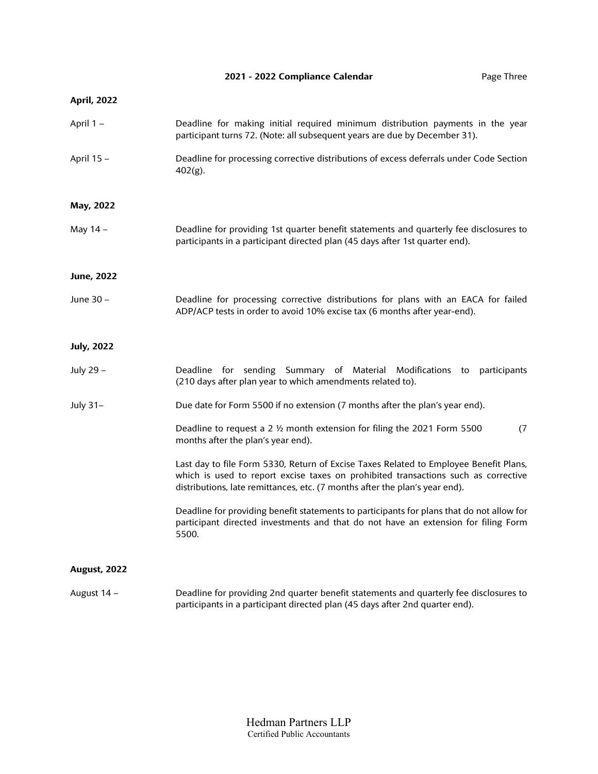# **2021 - 2022 Compliance Calendar** Page Three

# **April, 2022**

| April 1-            | Deadline for making initial required minimum distribution payments in the year<br>participant turns 72. (Note: all subsequent years are due by December 31).                                                                                               |
|---------------------|------------------------------------------------------------------------------------------------------------------------------------------------------------------------------------------------------------------------------------------------------------|
| April 15 -          | Deadline for processing corrective distributions of excess deferrals under Code Section<br>402(g).                                                                                                                                                         |
| May, 2022           |                                                                                                                                                                                                                                                            |
| May 14 –            | Deadline for providing 1st quarter benefit statements and quarterly fee disclosures to<br>participants in a participant directed plan (45 days after 1st quarter end).                                                                                     |
| <b>June, 2022</b>   |                                                                                                                                                                                                                                                            |
| June 30 -           | Deadline for processing corrective distributions for plans with an EACA for failed<br>ADP/ACP tests in order to avoid 10% excise tax (6 months after year-end).                                                                                            |
| <b>July, 2022</b>   |                                                                                                                                                                                                                                                            |
| July 29 -           | Deadline for sending Summary of Material Modifications to<br>participants<br>(210 days after plan year to which amendments related to).                                                                                                                    |
| July 31-            | Due date for Form 5500 if no extension (7 months after the plan's year end).                                                                                                                                                                               |
|                     | (7)<br>Deadline to request a 2 1/2 month extension for filing the 2021 Form 5500<br>months after the plan's year end).                                                                                                                                     |
|                     | Last day to file Form 5330, Return of Excise Taxes Related to Employee Benefit Plans,<br>which is used to report excise taxes on prohibited transactions such as corrective<br>distributions, late remittances, etc. (7 months after the plan's year end). |
|                     | Deadline for providing benefit statements to participants for plans that do not allow for<br>participant directed investments and that do not have an extension for filing Form<br>5500.                                                                   |
| <b>August, 2022</b> |                                                                                                                                                                                                                                                            |
| August 14 -         | Deadline for providing 2nd quarter benefit statements and quarterly fee disclosures to<br>participants in a participant directed plan (45 days after 2nd quarter end).                                                                                     |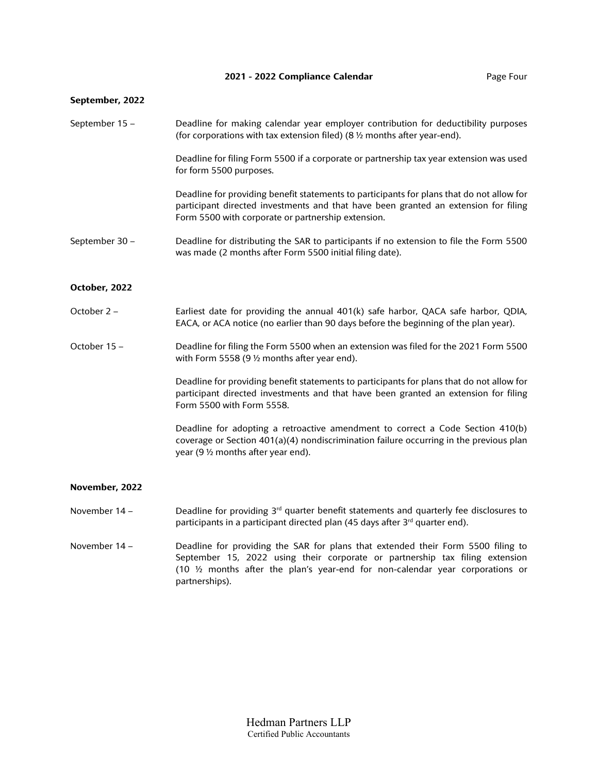### **September, 2022**

| September 15 - | Deadline for making calendar year employer contribution for deductibility purposes<br>(for corporations with tax extension filed) (8 $\frac{1}{2}$ months after year-end).                                                             |
|----------------|----------------------------------------------------------------------------------------------------------------------------------------------------------------------------------------------------------------------------------------|
|                | Deadline for filing Form 5500 if a corporate or partnership tax year extension was used<br>for form 5500 purposes.                                                                                                                     |
|                | Deadline for providing benefit statements to participants for plans that do not allow for<br>participant directed investments and that have been granted an extension for filing<br>Form 5500 with corporate or partnership extension. |
| September 30-  | Deadline for distributing the SAR to participants if no extension to file the Form 5500<br>was made (2 months after Form 5500 initial filing date).                                                                                    |
| October, 2022  |                                                                                                                                                                                                                                        |
| October 2 -    | Earliest date for providing the annual 401(k) safe harbor, QACA safe harbor, QDIA,<br>EACA, or ACA notice (no earlier than 90 days before the beginning of the plan year).                                                             |
| October 15-    | Deadline for filing the Form 5500 when an extension was filed for the 2021 Form 5500<br>with Form 5558 (9 1/2 months after year end).                                                                                                  |
|                | Deadline for providing benefit statements to participants for plans that do not allow for<br>participant directed investments and that have been granted an extension for filing<br>Form 5500 with Form 5558.                          |
|                | Deadline for adopting a retroactive amendment to correct a Code Section 410(b)<br>coverage or Section 401(a)(4) nondiscrimination failure occurring in the previous plan<br>year (9 1/2 months after year end).                        |
| November, 2022 |                                                                                                                                                                                                                                        |
| November 14 -  | Deadline for providing $3rd$ quarter benefit statements and quarterly fee disclosures to<br>participants in a participant directed plan (45 days after 3rd quarter end).                                                               |
|                |                                                                                                                                                                                                                                        |

November 14 - Deadline for providing the SAR for plans that extended their Form 5500 filing to September 15, 2022 using their corporate or partnership tax filing extension (10 ½ months after the plan's year-end for non-calendar year corporations or partnerships).